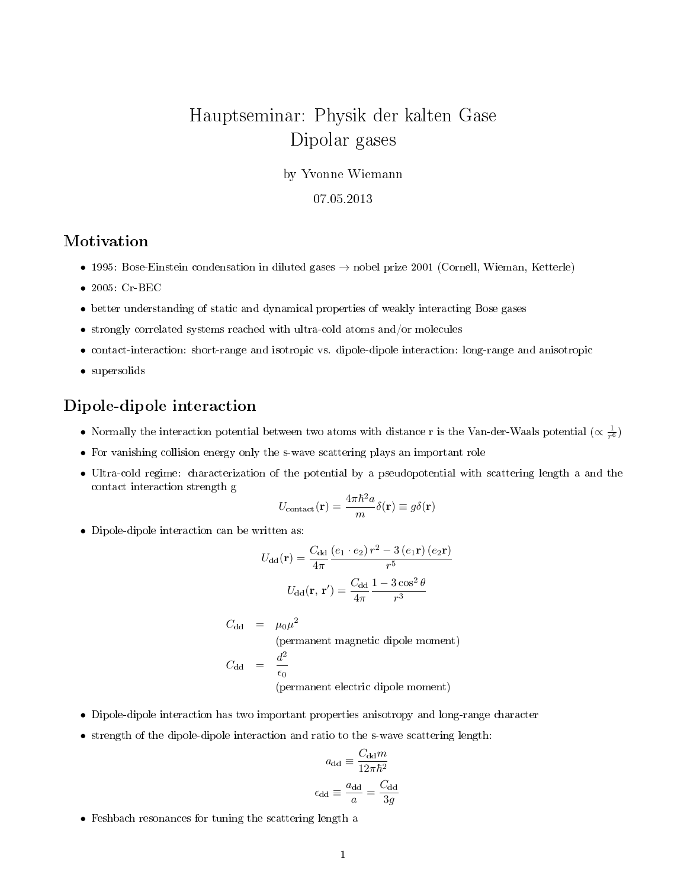# Hauptseminar: Physik der kalten Gase Dipolar gases

by Yvonne Wiemann

#### 07.05.2013

## Motivation

- 1995: Bose-Einstein condensation in diluted gases → nobel prize 2001 (Cornell, Wieman, Ketterle)
- 2005: Cr-BEC
- better understanding of static and dynamical properties of weakly interacting Bose gases
- strongly correlated systems reached with ultra-cold atoms and/or molecules
- contact-interaction: short-range and isotropic vs. dipole-dipole interaction: long-range and anisotropic
- supersolids

## Dipole-dipole interaction

- Normally the interaction potential between two atoms with distance r is the Van-der-Waals potential ( $\propto \frac{1}{r^6}$ )
- For vanishing collision energy only the s-wave scattering plays an important role
- Ultra-cold regime: characterization of the potential by a pseudopotential with scattering length a and the contact interaction strength g

$$
U_{\rm contact}({\bf r}) = \frac{4\pi\hbar^2 a}{m} \delta({\bf r}) \equiv g \delta({\bf r})
$$

• Dipole-dipole interaction can be written as:

$$
U_{\rm dd}(\mathbf{r}) = \frac{C_{\rm dd}}{4\pi} \frac{\left(e_1 \cdot e_2\right) r^2 - 3\left(e_1 \mathbf{r}\right) \left(e_2 \mathbf{r}\right)}{r^5}
$$

$$
U_{\rm dd}(\mathbf{r}, \mathbf{r}') = \frac{C_{\rm dd}}{4\pi} \frac{1 - 3\cos^2\theta}{r^3}
$$

$$
C_{\rm dd} = \mu_0 \mu^2
$$
\n(permanent magnetic dipole moment)

\n
$$
C_{\rm dd} = \frac{d^2}{\epsilon_0}
$$
\n(permanent electric dipole moment)

- Dipole-dipole interaction has two important properties anisotropy and long-range character
- strength of the dipole-dipole interaction and ratio to the s-wave scattering length:

$$
a_{\rm dd} \equiv \frac{C_{\rm dd}m}{12\pi\hbar^2}
$$

$$
\epsilon_{\rm dd} \equiv \frac{a_{\rm dd}}{a} = \frac{C_{\rm dd}}{3g}
$$

• Feshbach resonances for tuning the scattering length a